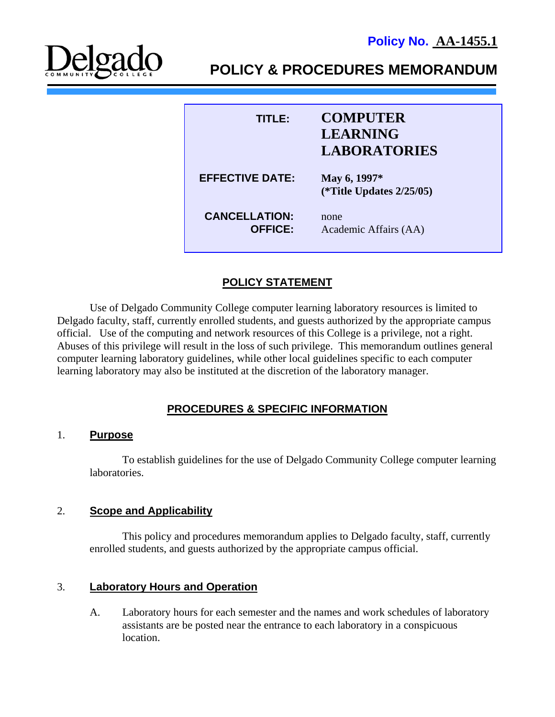

**POLICY & PROCEDURES MEMORANDUM** 

| TITLER                                 | <b>COMPUTER</b><br><b>LEARNING</b>                                 |
|----------------------------------------|--------------------------------------------------------------------|
| <b>EFFECTIVE DATE:</b>                 | <b>LABORATORIES</b><br>May 6, 1997*<br>(*Title Updates $2/25/05$ ) |
| <b>CANCELLATION:</b><br><b>OFFICE:</b> | none<br>Academic Affairs (AA)                                      |

# **POLICY STATEMENT**

Use of Delgado Community College computer learning laboratory resources is limited to Delgado faculty, staff, currently enrolled students, and guests authorized by the appropriate campus official. Use of the computing and network resources of this College is a privilege, not a right. Abuses of this privilege will result in the loss of such privilege. This memorandum outlines general computer learning laboratory guidelines, while other local guidelines specific to each computer learning laboratory may also be instituted at the discretion of the laboratory manager.

## **PROCEDURES & SPECIFIC INFORMATION**

#### 1. **Purpose**

To establish guidelines for the use of Delgado Community College computer learning laboratories.

#### 2. **Scope and Applicability**

This policy and procedures memorandum applies to Delgado faculty, staff, currently enrolled students, and guests authorized by the appropriate campus official.

#### 3. **Laboratory Hours and Operation**

A. Laboratory hours for each semester and the names and work schedules of laboratory assistants are be posted near the entrance to each laboratory in a conspicuous location.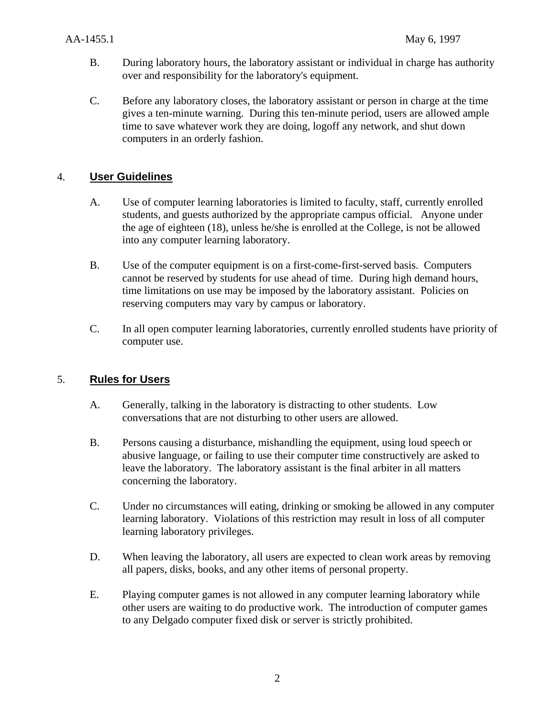- B. During laboratory hours, the laboratory assistant or individual in charge has authority over and responsibility for the laboratory's equipment.
- C. Before any laboratory closes, the laboratory assistant or person in charge at the time gives a ten-minute warning. During this ten-minute period, users are allowed ample time to save whatever work they are doing, logoff any network, and shut down computers in an orderly fashion.

## 4. **User Guidelines**

- A. Use of computer learning laboratories is limited to faculty, staff, currently enrolled students, and guests authorized by the appropriate campus official. Anyone under the age of eighteen (18), unless he/she is enrolled at the College, is not be allowed into any computer learning laboratory.
- B. Use of the computer equipment is on a first-come-first-served basis. Computers cannot be reserved by students for use ahead of time. During high demand hours, time limitations on use may be imposed by the laboratory assistant. Policies on reserving computers may vary by campus or laboratory.
- C. In all open computer learning laboratories, currently enrolled students have priority of computer use.

## 5. **Rules for Users**

- A. Generally, talking in the laboratory is distracting to other students. Low conversations that are not disturbing to other users are allowed.
- B. Persons causing a disturbance, mishandling the equipment, using loud speech or abusive language, or failing to use their computer time constructively are asked to leave the laboratory. The laboratory assistant is the final arbiter in all matters concerning the laboratory.
- C. Under no circumstances will eating, drinking or smoking be allowed in any computer learning laboratory. Violations of this restriction may result in loss of all computer learning laboratory privileges.
- D. When leaving the laboratory, all users are expected to clean work areas by removing all papers, disks, books, and any other items of personal property.
- E. Playing computer games is not allowed in any computer learning laboratory while other users are waiting to do productive work. The introduction of computer games to any Delgado computer fixed disk or server is strictly prohibited.